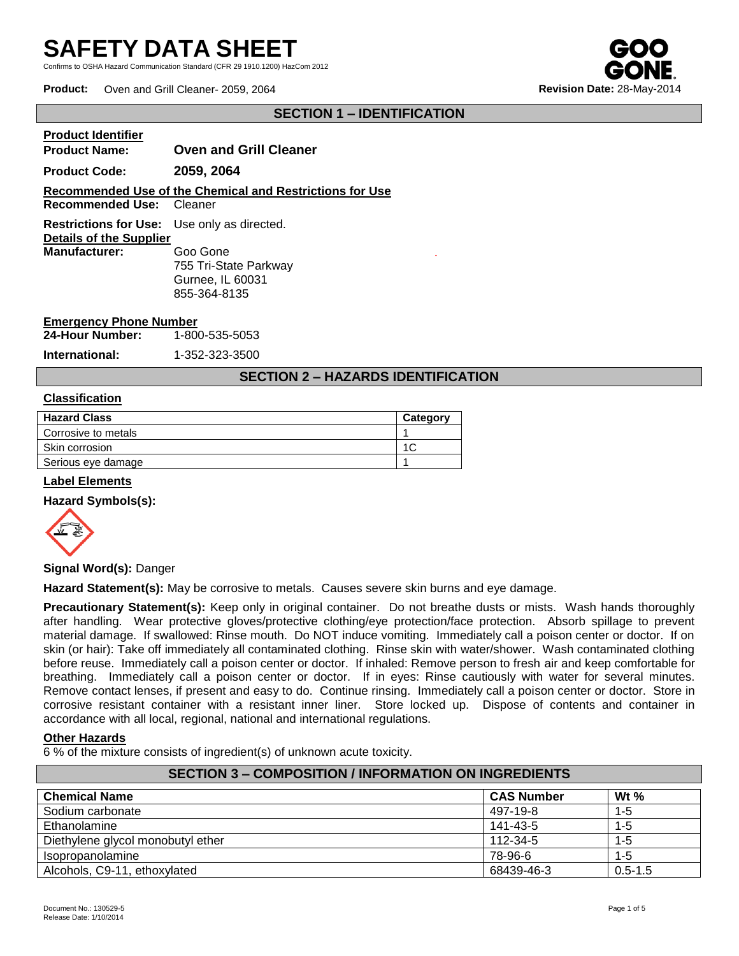Confirms to OSHA Hazard Communication Standard (CFR 29 1910.1200) HazCom 2012

**Product:** Oven and Grill Cleaner- 2059, 2064 **Revision Date:** 28-May-2014

### **SECTION 1 – IDENTIFICATION**

| <b>Product Identifier</b>                                                            |                                                          |
|--------------------------------------------------------------------------------------|----------------------------------------------------------|
| <b>Product Name:</b>                                                                 | <b>Oven and Grill Cleaner</b>                            |
| <b>Product Code:</b>                                                                 | 2059, 2064                                               |
|                                                                                      | Recommended Use of the Chemical and Restrictions for Use |
| <b>Recommended Use: Cleaner</b>                                                      |                                                          |
| <b>Restrictions for Use:</b> Use only as directed.<br><b>Details of the Supplier</b> |                                                          |
| <b>Manufacturer:</b>                                                                 | Goo Gone                                                 |
|                                                                                      | 755 Tri-State Parkway                                    |
|                                                                                      | Gurnee, IL 60031                                         |
|                                                                                      | 855-364-8135                                             |

#### **Emergency Phone Number**

| 24-Hour Number: | 1-800-535-5053 |
|-----------------|----------------|
|                 |                |

**International:** 1-352-323-3500

# **SECTION 2 – HAZARDS IDENTIFICATION**

.

# **Classification**

| <b>Hazard Class</b> | Category |
|---------------------|----------|
| Corrosive to metals |          |
| Skin corrosion      |          |
| Serious eye damage  |          |

#### **Label Elements**

# **Hazard Symbols(s):**



#### **Signal Word(s):** Danger

**Hazard Statement(s):** May be corrosive to metals. Causes severe skin burns and eye damage.

**Precautionary Statement(s):** Keep only in original container. Do not breathe dusts or mists. Wash hands thoroughly after handling. Wear protective gloves/protective clothing/eye protection/face protection. Absorb spillage to prevent material damage. If swallowed: Rinse mouth. Do NOT induce vomiting. Immediately call a poison center or doctor. If on skin (or hair): Take off immediately all contaminated clothing. Rinse skin with water/shower. Wash contaminated clothing before reuse. Immediately call a poison center or doctor. If inhaled: Remove person to fresh air and keep comfortable for breathing. Immediately call a poison center or doctor. If in eyes: Rinse cautiously with water for several minutes. Remove contact lenses, if present and easy to do. Continue rinsing. Immediately call a poison center or doctor. Store in corrosive resistant container with a resistant inner liner. Store locked up. Dispose of contents and container in accordance with all local, regional, national and international regulations.

#### **Other Hazards**

6 % of the mixture consists of ingredient(s) of unknown acute toxicity.

| <b>SECTION 3 - COMPOSITION / INFORMATION ON INGREDIENTS</b> |                   |             |  |
|-------------------------------------------------------------|-------------------|-------------|--|
| <b>Chemical Name</b>                                        | <b>CAS Number</b> | Wt $%$      |  |
| Sodium carbonate                                            | 497-19-8          | $1 - 5$     |  |
| Ethanolamine                                                | 141-43-5          | $1 - 5$     |  |
| Diethylene glycol monobutyl ether                           | 112-34-5          | $1 - 5$     |  |
| Isopropanolamine                                            | 78-96-6           | $1 - 5$     |  |
| Alcohols, C9-11, ethoxylated                                | 68439-46-3        | $0.5 - 1.5$ |  |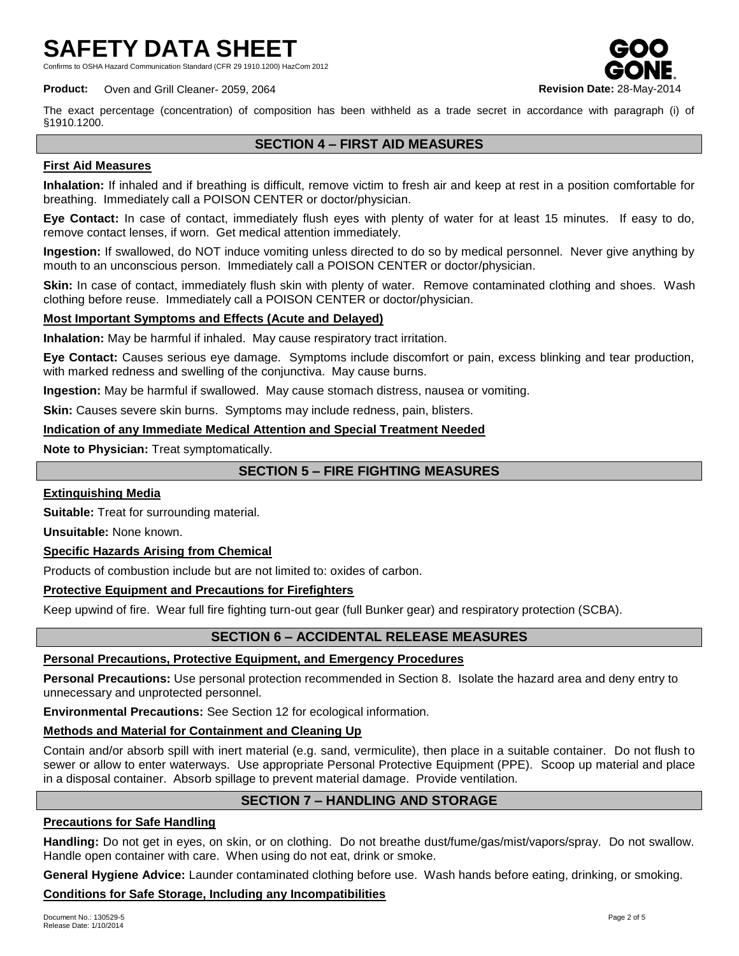Confirms to OSHA Hazard Communication Standard (CFR 29 1910.1200) HazCom 2012

**Product:** Oven and Grill Cleaner- 2059, 2064 **Revision Date:** 28-May-2014

The exact percentage (concentration) of composition has been withheld as a trade secret in accordance with paragraph (i) of §1910.1200.

# **SECTION 4 – FIRST AID MEASURES**

#### **First Aid Measures**

**Inhalation:** If inhaled and if breathing is difficult, remove victim to fresh air and keep at rest in a position comfortable for breathing. Immediately call a POISON CENTER or doctor/physician.

**Eye Contact:** In case of contact, immediately flush eyes with plenty of water for at least 15 minutes. If easy to do, remove contact lenses, if worn. Get medical attention immediately.

**Ingestion:** If swallowed, do NOT induce vomiting unless directed to do so by medical personnel. Never give anything by mouth to an unconscious person. Immediately call a POISON CENTER or doctor/physician.

**Skin:** In case of contact, immediately flush skin with plenty of water. Remove contaminated clothing and shoes. Wash clothing before reuse. Immediately call a POISON CENTER or doctor/physician.

# **Most Important Symptoms and Effects (Acute and Delayed)**

**Inhalation:** May be harmful if inhaled. May cause respiratory tract irritation.

**Eye Contact:** Causes serious eye damage. Symptoms include discomfort or pain, excess blinking and tear production, with marked redness and swelling of the conjunctiva. May cause burns.

**Ingestion:** May be harmful if swallowed. May cause stomach distress, nausea or vomiting.

**Skin:** Causes severe skin burns. Symptoms may include redness, pain, blisters.

#### **Indication of any Immediate Medical Attention and Special Treatment Needed**

**Note to Physician:** Treat symptomatically.

# **SECTION 5 – FIRE FIGHTING MEASURES**

#### **Extinguishing Media**

**Suitable:** Treat for surrounding material.

**Unsuitable:** None known.

#### **Specific Hazards Arising from Chemical**

Products of combustion include but are not limited to: oxides of carbon.

#### **Protective Equipment and Precautions for Firefighters**

Keep upwind of fire. Wear full fire fighting turn-out gear (full Bunker gear) and respiratory protection (SCBA).

# **SECTION 6 – ACCIDENTAL RELEASE MEASURES**

#### **Personal Precautions, Protective Equipment, and Emergency Procedures**

**Personal Precautions:** Use personal protection recommended in Section 8. Isolate the hazard area and deny entry to unnecessary and unprotected personnel.

**Environmental Precautions:** See Section 12 for ecological information.

### **Methods and Material for Containment and Cleaning Up**

Contain and/or absorb spill with inert material (e.g. sand, vermiculite), then place in a suitable container. Do not flush to sewer or allow to enter waterways. Use appropriate Personal Protective Equipment (PPE). Scoop up material and place in a disposal container. Absorb spillage to prevent material damage. Provide ventilation.

# **SECTION 7 – HANDLING AND STORAGE**

### **Precautions for Safe Handling**

**Handling:** Do not get in eyes, on skin, or on clothing. Do not breathe dust/fume/gas/mist/vapors/spray. Do not swallow. Handle open container with care. When using do not eat, drink or smoke.

**General Hygiene Advice:** Launder contaminated clothing before use. Wash hands before eating, drinking, or smoking.

#### **Conditions for Safe Storage, Including any Incompatibilities**

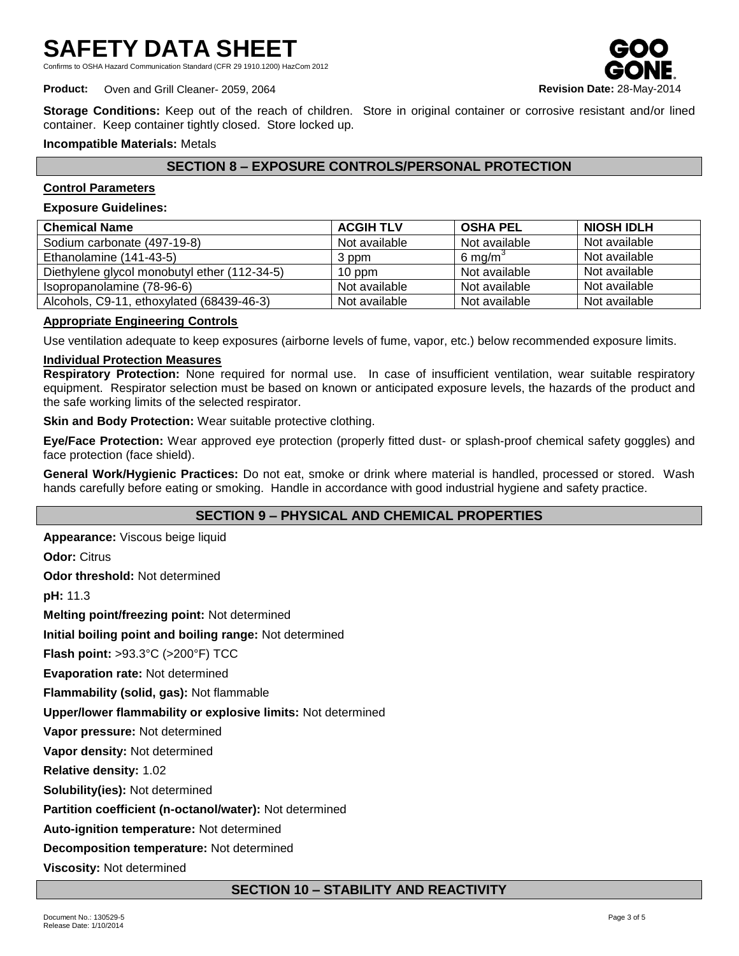Confirms to OSHA Hazard Communication Standard (CFR 29 1910.1200) HazCom 2012

**Product:** Oven and Grill Cleaner- 2059, 2064 **Revision Date: 28-May-2014** Revision Date: 28-May

**Storage Conditions:** Keep out of the reach of children. Store in original container or corrosive resistant and/or lined container. Keep container tightly closed. Store locked up.

#### **Incompatible Materials:** Metals

# **SECTION 8 – EXPOSURE CONTROLS/PERSONAL PROTECTION**

### **Control Parameters**

#### **Exposure Guidelines:**

| <b>Chemical Name</b>                         | <b>ACGIH TLV</b> | <b>OSHA PEL</b> | <b>NIOSH IDLH</b> |
|----------------------------------------------|------------------|-----------------|-------------------|
| Sodium carbonate (497-19-8)                  | Not available    | Not available   | Not available     |
| Ethanolamine (141-43-5)                      | 3 ppm            | 6 mg/m $3$      | Not available     |
| Diethylene glycol monobutyl ether (112-34-5) | 10 ppm           | Not available   | Not available     |
| Isopropanolamine (78-96-6)                   | Not available    | Not available   | Not available     |
| Alcohols, C9-11, ethoxylated (68439-46-3)    | Not available    | Not available   | Not available     |

# **Appropriate Engineering Controls**

Use ventilation adequate to keep exposures (airborne levels of fume, vapor, etc.) below recommended exposure limits.

#### **Individual Protection Measures**

**Respiratory Protection:** None required for normal use.In case of insufficient ventilation, wear suitable respiratory equipment. Respirator selection must be based on known or anticipated exposure levels, the hazards of the product and the safe working limits of the selected respirator.

**Skin and Body Protection:** Wear suitable protective clothing.

**Eye/Face Protection:** Wear approved eye protection (properly fitted dust- or splash-proof chemical safety goggles) and face protection (face shield).

**General Work/Hygienic Practices:** Do not eat, smoke or drink where material is handled, processed or stored. Wash hands carefully before eating or smoking. Handle in accordance with good industrial hygiene and safety practice.

# **SECTION 9 – PHYSICAL AND CHEMICAL PROPERTIES**

**Appearance:** Viscous beige liquid

**Odor:** Citrus

**Odor threshold:** Not determined

**pH:** 11.3

**Melting point/freezing point:** Not determined

**Initial boiling point and boiling range:** Not determined

**Flash point:** >93.3°C (>200°F) TCC

**Evaporation rate:** Not determined

**Flammability (solid, gas):** Not flammable

**Upper/lower flammability or explosive limits:** Not determined

**Vapor pressure:** Not determined

**Vapor density:** Not determined

**Relative density:** 1.02

**Solubility(ies):** Not determined

**Partition coefficient (n-octanol/water):** Not determined

**Auto-ignition temperature:** Not determined

**Decomposition temperature:** Not determined

**Viscosity:** Not determined

# **SECTION 10 – STABILITY AND REACTIVITY**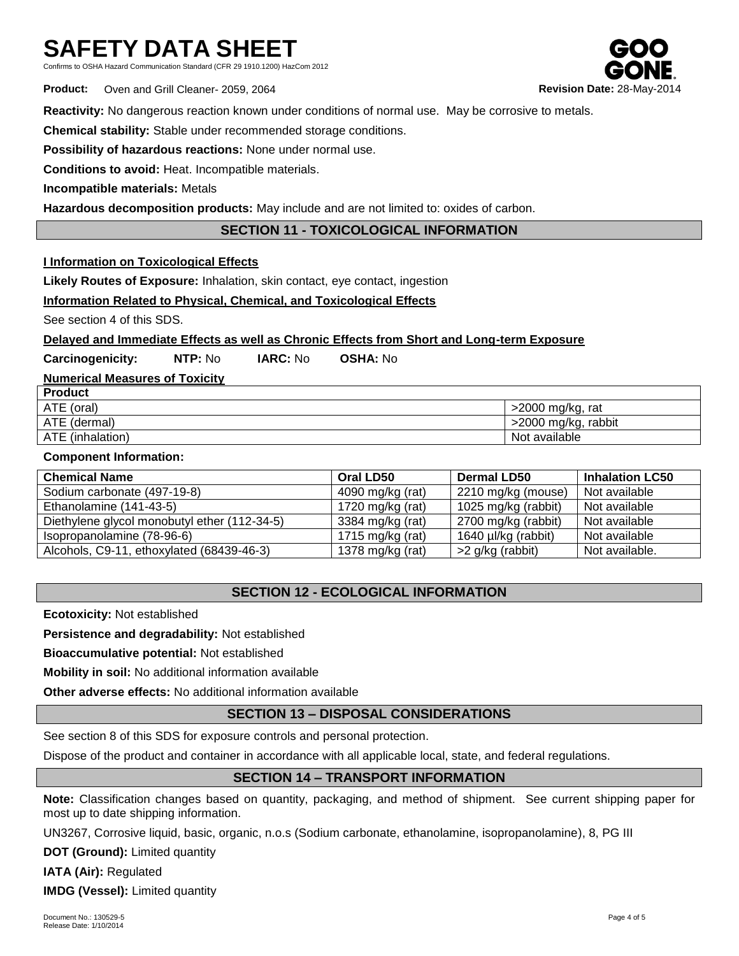Confirms to OSHA Hazard Communication Standard (CFR 29 1910.1200) HazCom 2012

**Product:** Oven and Grill Cleaner- 2059, 2064 **Revision Date:** 28-May-2014

**Reactivity:** No dangerous reaction known under conditions of normal use. May be corrosive to metals.

**Chemical stability:** Stable under recommended storage conditions.

**Possibility of hazardous reactions:** None under normal use.

**Conditions to avoid:** Heat. Incompatible materials.

**Incompatible materials:** Metals

**Hazardous decomposition products:** May include and are not limited to: oxides of carbon.

# **SECTION 11 - TOXICOLOGICAL INFORMATION**

#### **I Information on Toxicological Effects**

**Likely Routes of Exposure:** Inhalation, skin contact, eye contact, ingestion

#### **Information Related to Physical, Chemical, and Toxicological Effects**

See section 4 of this SDS.

#### **Delayed and Immediate Effects as well as Chronic Effects from Short and Long-term Exposure**

**Carcinogenicity: NTP:** No **IARC:** No **OSHA:** No

### **Numerical Measures of Toxicity**

| <b>Product</b>   |                     |
|------------------|---------------------|
| ATE (oral)       | $>$ 2000 mg/kg, rat |
| ATE (dermal)     | >2000 mg/kg, rabbit |
| ATE (inhalation) | Not available       |

#### **Component Information:**

| <b>Chemical Name</b>                         | Oral LD50        | <b>Dermal LD50</b>  | <b>Inhalation LC50</b> |
|----------------------------------------------|------------------|---------------------|------------------------|
| Sodium carbonate (497-19-8)                  | 4090 mg/kg (rat) | 2210 mg/kg (mouse)  | Not available          |
| Ethanolamine (141-43-5)                      | 1720 mg/kg (rat) | 1025 mg/kg (rabbit) | Not available          |
| Diethylene glycol monobutyl ether (112-34-5) | 3384 mg/kg (rat) | 2700 mg/kg (rabbit) | Not available          |
| Isopropanolamine (78-96-6)                   | 1715 mg/kg (rat) | 1640 µl/kg (rabbit) | Not available          |
| Alcohols, C9-11, ethoxylated (68439-46-3)    | 1378 mg/kg (rat) | >2 g/kg (rabbit)    | Not available.         |

# **SECTION 12 - ECOLOGICAL INFORMATION**

**Ecotoxicity:** Not established

**Persistence and degradability:** Not established

**Bioaccumulative potential:** Not established

**Mobility in soil:** No additional information available

**Other adverse effects:** No additional information available

# **SECTION 13 – DISPOSAL CONSIDERATIONS**

See section 8 of this SDS for exposure controls and personal protection.

Dispose of the product and container in accordance with all applicable local, state, and federal regulations.

### **SECTION 14 – TRANSPORT INFORMATION**

**Note:** Classification changes based on quantity, packaging, and method of shipment. See current shipping paper for most up to date shipping information.

UN3267, Corrosive liquid, basic, organic, n.o.s (Sodium carbonate, ethanolamine, isopropanolamine), 8, PG III

**DOT (Ground):** Limited quantity

**IATA (Air):** Regulated

**IMDG (Vessel):** Limited quantity